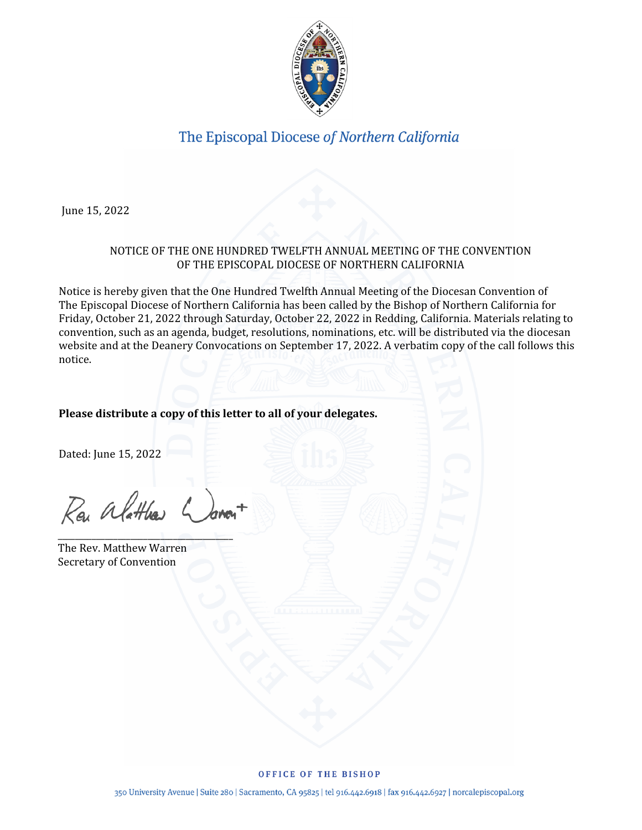

June 15, 2022

### NOTICE OF THE ONE HUNDRED TWELFTH ANNUAL MEETING OF THE CONVENTION OF THE EPISCOPAL DIOCESE OF NORTHERN CALIFORNIA

Notice is hereby given that the One Hundred Twelfth Annual Meeting of the Diocesan Convention of The Episcopal Diocese of Northern California has been called by the Bishop of Northern California for Friday, October 21, 2022 through Saturday, October 22, 2022 in Redding, California. Materials relating to convention, such as an agenda, budget, resolutions, nominations, etc. will be distributed via the diocesan website and at the Deanery Convocations on September 17, 2022. A verbatim copy of the call follows this notice.

### **Please distribute a copy of this letter to all of your delegates.**

Dated: June 15, 2022

Rev alatthe

 $\overline{\phantom{a}}$ 

The Rev. Matthew Warren Secretary of Convention

#### OFFICE OF THE BISHOP

350 University Avenue | Suite 280 | Sacramento, CA 95825 | tel 916.442.6918 | fax 916.442.6927 | norcalepiscopal.org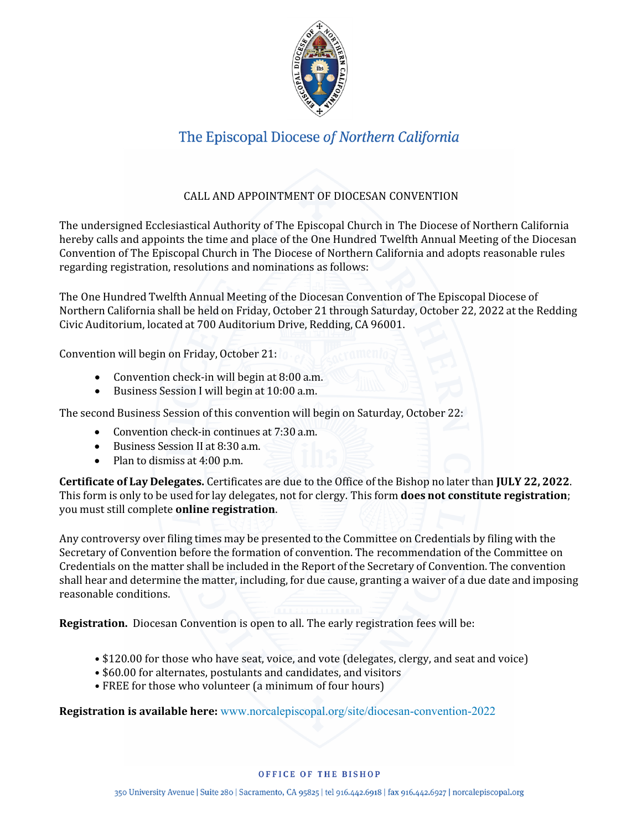

## CALL AND APPOINTMENT OF DIOCESAN CONVENTION

The undersigned Ecclesiastical Authority of The Episcopal Church in The Diocese of Northern California hereby calls and appoints the time and place of the One Hundred Twelfth Annual Meeting of the Diocesan Convention of The Episcopal Church in The Diocese of Northern California and adopts reasonable rules regarding registration, resolutions and nominations as follows:

The One Hundred Twelfth Annual Meeting of the Diocesan Convention of The Episcopal Diocese of Northern California shall be held on Friday, October 21 through Saturday, October 22, 2022 at the Redding Civic Auditorium, located at 700 Auditorium Drive, Redding, CA 96001.

Convention will begin on Friday, October 21:

- Convention check-in will begin at 8:00 a.m.
- Business Session I will begin at 10:00 a.m.

The second Business Session of this convention will begin on Saturday, October 22:

- Convention check-in continues at 7:30 a.m.
- Business Session II at 8:30 a.m.
- Plan to dismiss at 4:00 p.m.

**Certificate of Lay Delegates.** Certificates are due to the Office of the Bishop no later than **JULY 22, 2022**. This form is only to be used for lay delegates, not for clergy. This form **does not constitute registration**; you must still complete **online registration**.

Any controversy over filing times may be presented to the Committee on Credentials by filing with the Secretary of Convention before the formation of convention. The recommendation of the Committee on Credentials on the matter shall be included in the Report of the Secretary of Convention. The convention shall hear and determine the matter, including, for due cause, granting a waiver of a due date and imposing reasonable conditions.

**Registration.** Diocesan Convention is open to all. The early registration fees will be:

- \$120.00 for those who have seat, voice, and vote (delegates, clergy, and seat and voice)
- \$60.00 for alternates, postulants and candidates, and visitors
- FREE for those who volunteer (a minimum of four hours)

**Registration is available here:** www.norcalepiscopal.org/site/diocesan-convention-2022

#### OFFICE OF THE BISHOP

350 University Avenue | Suite 280 | Sacramento, CA 95825 | tel 916.442.6918 | fax 916.442.6927 | norcalepiscopal.org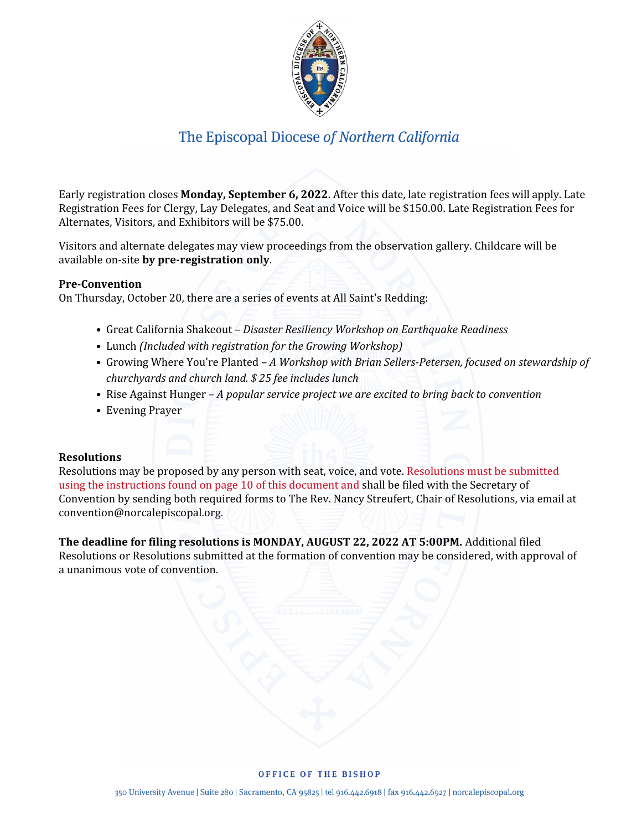

Early registration closes **Monday, September 6, 2022**. After this date, late registration fees will apply. Late Registration Fees for Clergy, Lay Delegates, and Seat and Voice will be \$150.00. Late Registration Fees for Alternates, Visitors, and Exhibitors will be \$75.00.

Visitors and alternate delegates may view proceedings from the observation gallery. Childcare will be available on-site **by pre-registration only**.

### **Pre-Convention**

On Thursday, October 20, there are a series of events at All Saint's Redding:

- Great California Shakeout *Disaster Resiliency Workshop on Earthquake Readiness*
- Lunch *(Included with registration for the Growing Workshop)*
- Growing Where You're Planted *A Workshop with Brian Sellers-Petersen, focused on stewardship of churchyards and church land. \$ 25 fee includes lunch*
- Rise Against Hunger *A popular service project we are excited to bring back to convention*
- Evening Prayer

### **Resolutions**

Resolutions may be proposed by any person with seat, voice, and vote. Resolutions must be submitted using the instructions found on page 10 of this document and shall be filed with the Secretary of Convention by sending both required forms to The Rev. Nancy Streufert, Chair of Resolutions, via email at convention@norcalepiscopal.org.

**The deadline for filing resolutions is MONDAY, AUGUST 22, 2022 AT 5:00PM.** Additional filed Resolutions or Resolutions submitted at the formation of convention may be considered, with approval of a unanimous vote of convention.

#### OFFICE OF THE BISHOP

350 University Avenue | Suite 280 | Sacramento, CA 95825 | tel 916.442.6918 | fax 916.442.6927 | norcalepiscopal.org